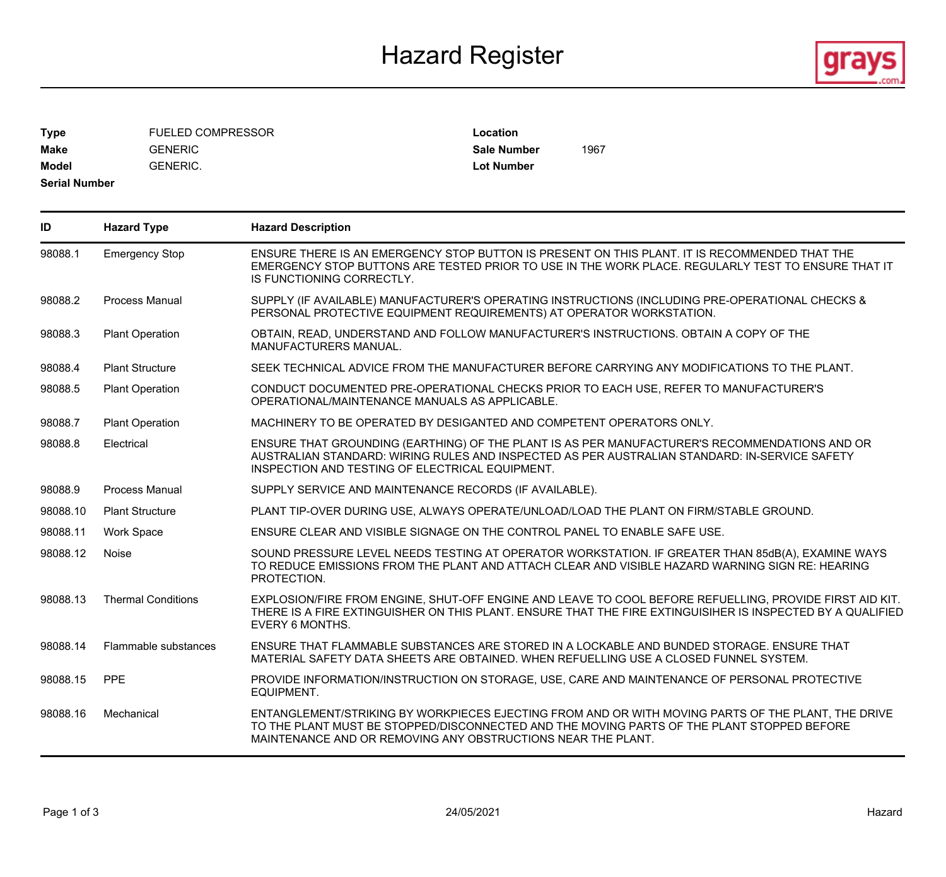## Hazard Register **Executes Exercise Exercise Service Service Exercise Agra**



**Type** FUELED COMPRESSOR **Make** GENERIC **Sale Number** 1967 **Model** GENERIC.

**Location Lot Number**

**Serial Number**

| ID       | <b>Hazard Type</b>        | <b>Hazard Description</b>                                                                                                                                                                                                                                        |
|----------|---------------------------|------------------------------------------------------------------------------------------------------------------------------------------------------------------------------------------------------------------------------------------------------------------|
| 98088.1  | <b>Emergency Stop</b>     | ENSURE THERE IS AN EMERGENCY STOP BUTTON IS PRESENT ON THIS PLANT. IT IS RECOMMENDED THAT THE<br>EMERGENCY STOP BUTTONS ARE TESTED PRIOR TO USE IN THE WORK PLACE. REGULARLY TEST TO ENSURE THAT IT<br>IS FUNCTIONING CORRECTLY.                                 |
| 98088.2  | <b>Process Manual</b>     | SUPPLY (IF AVAILABLE) MANUFACTURER'S OPERATING INSTRUCTIONS (INCLUDING PRE-OPERATIONAL CHECKS &<br>PERSONAL PROTECTIVE EQUIPMENT REQUIREMENTS) AT OPERATOR WORKSTATION.                                                                                          |
| 98088.3  | <b>Plant Operation</b>    | OBTAIN, READ, UNDERSTAND AND FOLLOW MANUFACTURER'S INSTRUCTIONS. OBTAIN A COPY OF THE<br>MANUFACTURERS MANUAL.                                                                                                                                                   |
| 98088.4  | <b>Plant Structure</b>    | SEEK TECHNICAL ADVICE FROM THE MANUFACTURER BEFORE CARRYING ANY MODIFICATIONS TO THE PLANT.                                                                                                                                                                      |
| 98088.5  | <b>Plant Operation</b>    | CONDUCT DOCUMENTED PRE-OPERATIONAL CHECKS PRIOR TO EACH USE, REFER TO MANUFACTURER'S<br>OPERATIONAL/MAINTENANCE MANUALS AS APPLICABLE.                                                                                                                           |
| 98088.7  | <b>Plant Operation</b>    | MACHINERY TO BE OPERATED BY DESIGANTED AND COMPETENT OPERATORS ONLY.                                                                                                                                                                                             |
| 98088.8  | Electrical                | ENSURE THAT GROUNDING (EARTHING) OF THE PLANT IS AS PER MANUFACTURER'S RECOMMENDATIONS AND OR<br>AUSTRALIAN STANDARD: WIRING RULES AND INSPECTED AS PER AUSTRALIAN STANDARD: IN-SERVICE SAFETY<br>INSPECTION AND TESTING OF ELECTRICAL EQUIPMENT.                |
| 98088.9  | <b>Process Manual</b>     | SUPPLY SERVICE AND MAINTENANCE RECORDS (IF AVAILABLE).                                                                                                                                                                                                           |
| 98088.10 | <b>Plant Structure</b>    | PLANT TIP-OVER DURING USE, ALWAYS OPERATE/UNLOAD/LOAD THE PLANT ON FIRM/STABLE GROUND.                                                                                                                                                                           |
| 98088.11 | <b>Work Space</b>         | ENSURE CLEAR AND VISIBLE SIGNAGE ON THE CONTROL PANEL TO ENABLE SAFE USE.                                                                                                                                                                                        |
| 98088.12 | Noise                     | SOUND PRESSURE LEVEL NEEDS TESTING AT OPERATOR WORKSTATION. IF GREATER THAN 85dB(A), EXAMINE WAYS<br>TO REDUCE EMISSIONS FROM THE PLANT AND ATTACH CLEAR AND VISIBLE HAZARD WARNING SIGN RE: HEARING<br>PROTECTION.                                              |
| 98088.13 | <b>Thermal Conditions</b> | EXPLOSION/FIRE FROM ENGINE, SHUT-OFF ENGINE AND LEAVE TO COOL BEFORE REFUELLING, PROVIDE FIRST AID KIT.<br>THERE IS A FIRE EXTINGUISHER ON THIS PLANT. ENSURE THAT THE FIRE EXTINGUISIHER IS INSPECTED BY A QUALIFIED<br>EVERY 6 MONTHS.                         |
| 98088.14 | Flammable substances      | ENSURE THAT FLAMMABLE SUBSTANCES ARE STORED IN A LOCKABLE AND BUNDED STORAGE. ENSURE THAT<br>MATERIAL SAFETY DATA SHEETS ARE OBTAINED. WHEN REFUELLING USE A CLOSED FUNNEL SYSTEM.                                                                               |
| 98088.15 | <b>PPE</b>                | PROVIDE INFORMATION/INSTRUCTION ON STORAGE, USE, CARE AND MAINTENANCE OF PERSONAL PROTECTIVE<br>EQUIPMENT.                                                                                                                                                       |
| 98088.16 | Mechanical                | ENTANGLEMENT/STRIKING BY WORKPIECES EJECTING FROM AND OR WITH MOVING PARTS OF THE PLANT, THE DRIVE<br>TO THE PLANT MUST BE STOPPED/DISCONNECTED AND THE MOVING PARTS OF THE PLANT STOPPED BEFORE<br>MAINTENANCE AND OR REMOVING ANY OBSTRUCTIONS NEAR THE PLANT. |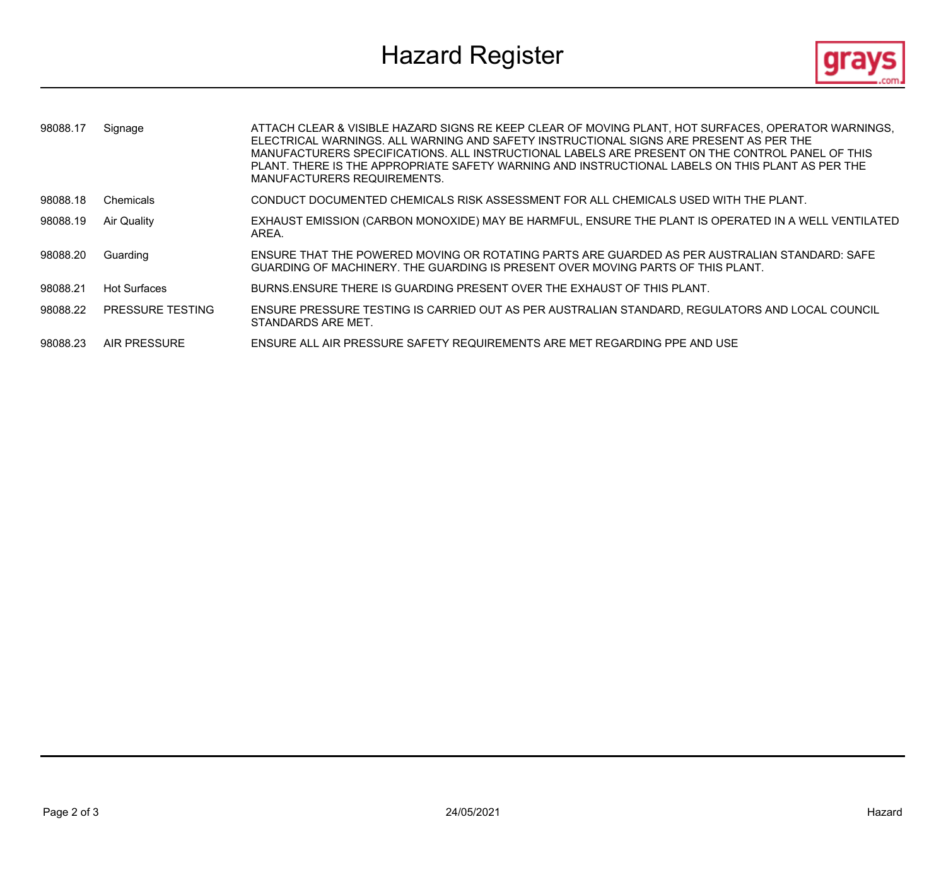# Hazard Register **Exercise Service Service Service Service Service Service Service Service Service Service Service Service Service Service Service Service Service Service Service Service Service Service Service Service Serv**



| 98088.17 | Signage                 | ATTACH CLEAR & VISIBLE HAZARD SIGNS RE KEEP CLEAR OF MOVING PLANT, HOT SURFACES, OPERATOR WARNINGS,<br>ELECTRICAL WARNINGS. ALL WARNING AND SAFETY INSTRUCTIONAL SIGNS ARE PRESENT AS PER THE<br>MANUFACTURERS SPECIFICATIONS. ALL INSTRUCTIONAL LABELS ARE PRESENT ON THE CONTROL PANEL OF THIS<br>PLANT. THERE IS THE APPROPRIATE SAFETY WARNING AND INSTRUCTIONAL LABELS ON THIS PLANT AS PER THE<br>MANUFACTURERS REQUIREMENTS. |
|----------|-------------------------|-------------------------------------------------------------------------------------------------------------------------------------------------------------------------------------------------------------------------------------------------------------------------------------------------------------------------------------------------------------------------------------------------------------------------------------|
| 98088.18 | Chemicals               | CONDUCT DOCUMENTED CHEMICALS RISK ASSESSMENT FOR ALL CHEMICALS USED WITH THE PLANT.                                                                                                                                                                                                                                                                                                                                                 |
| 98088.19 | Air Quality             | EXHAUST EMISSION (CARBON MONOXIDE) MAY BE HARMFUL, ENSURE THE PLANT IS OPERATED IN A WELL VENTILATED<br>AREA.                                                                                                                                                                                                                                                                                                                       |
| 98088.20 | Guarding                | ENSURE THAT THE POWERED MOVING OR ROTATING PARTS ARE GUARDED AS PER AUSTRALIAN STANDARD: SAFE<br>GUARDING OF MACHINERY. THE GUARDING IS PRESENT OVER MOVING PARTS OF THIS PLANT.                                                                                                                                                                                                                                                    |
| 98088.21 | <b>Hot Surfaces</b>     | BURNS ENSURE THERE IS GUARDING PRESENT OVER THE EXHAUST OF THIS PLANT.                                                                                                                                                                                                                                                                                                                                                              |
| 98088.22 | <b>PRESSURE TESTING</b> | ENSURE PRESSURE TESTING IS CARRIED OUT AS PER AUSTRALIAN STANDARD, REGULATORS AND LOCAL COUNCIL<br>STANDARDS ARE MET.                                                                                                                                                                                                                                                                                                               |
| 98088.23 | <b>AIR PRESSURE</b>     | ENSURE ALL AIR PRESSURE SAFETY REQUIREMENTS ARE MET REGARDING PPE AND USE                                                                                                                                                                                                                                                                                                                                                           |
|          |                         |                                                                                                                                                                                                                                                                                                                                                                                                                                     |